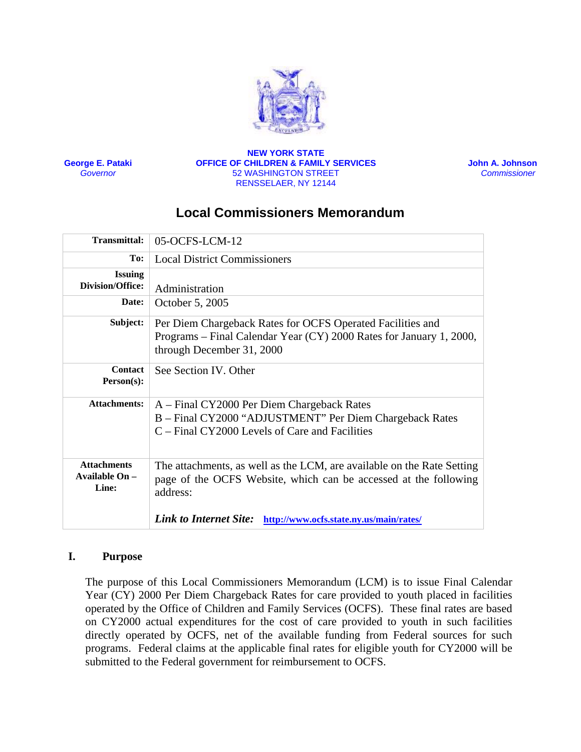

**George E. Pataki** *Governor*

#### **NEW YORK STATE OFFICE OF CHILDREN & FAMILY SERVICES**  52 WASHINGTON STREET RENSSELAER, NY 12144

**John A. Johnson**   *Commissioner* 

# **Local Commissioners Memorandum**

| Transmittal:                                    | 05-OCFS-LCM-12                                                                                                                                                 |
|-------------------------------------------------|----------------------------------------------------------------------------------------------------------------------------------------------------------------|
| To:                                             | <b>Local District Commissioners</b>                                                                                                                            |
| <b>Issuing</b><br>Division/Office:              | Administration                                                                                                                                                 |
| Date:                                           | October 5, 2005                                                                                                                                                |
| Subject:                                        | Per Diem Chargeback Rates for OCFS Operated Facilities and<br>Programs – Final Calendar Year (CY) 2000 Rates for January 1, 2000,<br>through December 31, 2000 |
| <b>Contact</b><br>$Person(s)$ :                 | See Section IV. Other                                                                                                                                          |
| <b>Attachments:</b>                             | A – Final CY2000 Per Diem Chargeback Rates<br>B - Final CY2000 "ADJUSTMENT" Per Diem Chargeback Rates<br>C – Final CY2000 Levels of Care and Facilities        |
| <b>Attachments</b><br>Available $On -$<br>Line: | The attachments, as well as the LCM, are available on the Rate Setting<br>page of the OCFS Website, which can be accessed at the following<br>address:         |
|                                                 | <b>Link to Internet Site:</b><br>http://www.ocfs.state.ny.us/main/rates/                                                                                       |

### **I. Purpose**

The purpose of this Local Commissioners Memorandum (LCM) is to issue Final Calendar Year (CY) 2000 Per Diem Chargeback Rates for care provided to youth placed in facilities operated by the Office of Children and Family Services (OCFS). These final rates are based on CY2000 actual expenditures for the cost of care provided to youth in such facilities directly operated by OCFS, net of the available funding from Federal sources for such programs. Federal claims at the applicable final rates for eligible youth for CY2000 will be submitted to the Federal government for reimbursement to OCFS.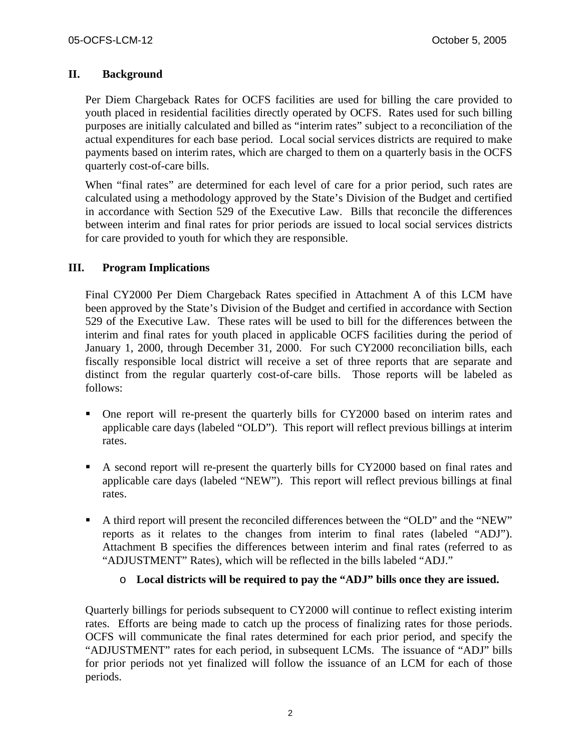### **II. Background**

Per Diem Chargeback Rates for OCFS facilities are used for billing the care provided to youth placed in residential facilities directly operated by OCFS. Rates used for such billing purposes are initially calculated and billed as "interim rates" subject to a reconciliation of the actual expenditures for each base period. Local social services districts are required to make payments based on interim rates, which are charged to them on a quarterly basis in the OCFS quarterly cost-of-care bills.

When "final rates" are determined for each level of care for a prior period, such rates are calculated using a methodology approved by the State's Division of the Budget and certified in accordance with Section 529 of the Executive Law. Bills that reconcile the differences between interim and final rates for prior periods are issued to local social services districts for care provided to youth for which they are responsible.

### **III. Program Implications**

Final CY2000 Per Diem Chargeback Rates specified in Attachment A of this LCM have been approved by the State's Division of the Budget and certified in accordance with Section 529 of the Executive Law. These rates will be used to bill for the differences between the interim and final rates for youth placed in applicable OCFS facilities during the period of January 1, 2000, through December 31, 2000. For such CY2000 reconciliation bills, each fiscally responsible local district will receive a set of three reports that are separate and distinct from the regular quarterly cost-of-care bills. Those reports will be labeled as follows:

- One report will re-present the quarterly bills for CY2000 based on interim rates and applicable care days (labeled "OLD"). This report will reflect previous billings at interim rates.
- A second report will re-present the quarterly bills for CY2000 based on final rates and applicable care days (labeled "NEW"). This report will reflect previous billings at final rates.
- A third report will present the reconciled differences between the "OLD" and the "NEW" reports as it relates to the changes from interim to final rates (labeled "ADJ"). Attachment B specifies the differences between interim and final rates (referred to as "ADJUSTMENT" Rates), which will be reflected in the bills labeled "ADJ."

### o **Local districts will be required to pay the "ADJ" bills once they are issued.**

Quarterly billings for periods subsequent to CY2000 will continue to reflect existing interim rates. Efforts are being made to catch up the process of finalizing rates for those periods. OCFS will communicate the final rates determined for each prior period, and specify the "ADJUSTMENT" rates for each period, in subsequent LCMs. The issuance of "ADJ" bills for prior periods not yet finalized will follow the issuance of an LCM for each of those periods.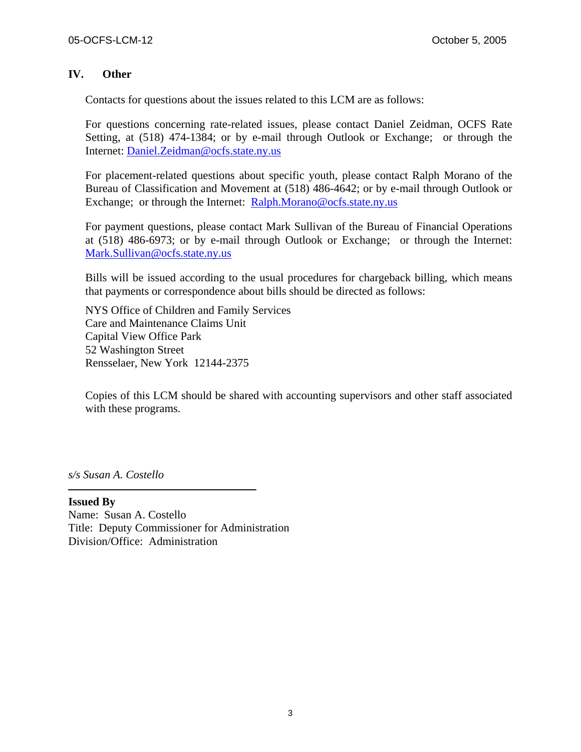### **IV. Other**

Contacts for questions about the issues related to this LCM are as follows:

For questions concerning rate-related issues, please contact Daniel Zeidman, OCFS Rate Setting, at (518) 474-1384; or by e-mail through Outlook or Exchange; or through the Internet: [Daniel.Zeidman@ocfs.state.ny.us](mailto:Daniel.Zeidman@ocfs.state.ny.us)

For placement-related questions about specific youth, please contact Ralph Morano of the Bureau of Classification and Movement at (518) 486-4642; or by e-mail through Outlook or Exchange; or through the Internet: [Ralph.Morano@ocfs.state.ny.us](mailto:Ralph.Morano@ocfs.state.ny.us)

For payment questions, please contact Mark Sullivan of the Bureau of Financial Operations at (518) 486-6973; or by e-mail through Outlook or Exchange; or through the Internet: [Mark.Sullivan@ocfs.state.ny.us](mailto:Mark.Sullivan@ocfs.state.ny.us)

Bills will be issued according to the usual procedures for chargeback billing, which means that payments or correspondence about bills should be directed as follows:

NYS Office of Children and Family Services Care and Maintenance Claims Unit Capital View Office Park 52 Washington Street Rensselaer, New York 12144-2375

Copies of this LCM should be shared with accounting supervisors and other staff associated with these programs.

*s/s Susan A. Costello* 

**Issued By**  Name: Susan A. Costello Title: Deputy Commissioner for Administration Division/Office: Administration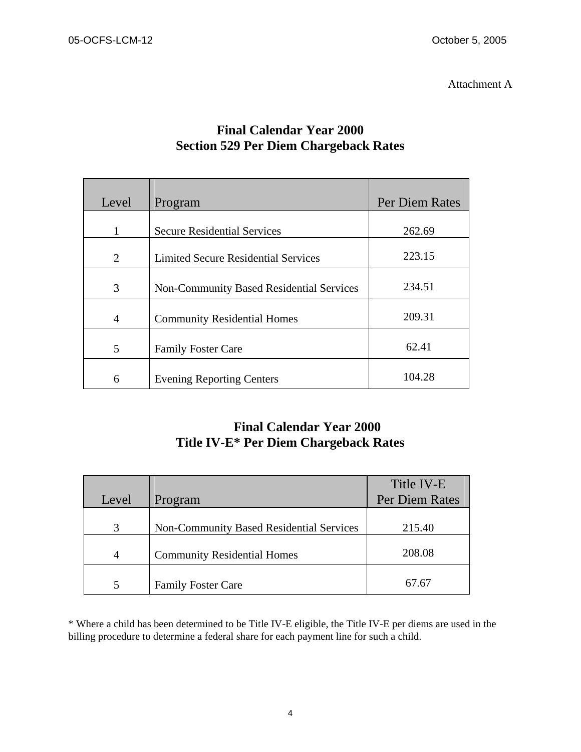Attachment A

| Level          | Program                                         | <b>Per Diem Rates</b> |
|----------------|-------------------------------------------------|-----------------------|
|                |                                                 |                       |
| 1              | <b>Secure Residential Services</b>              | 262.69                |
| 2              | <b>Limited Secure Residential Services</b>      | 223.15                |
| 3              | <b>Non-Community Based Residential Services</b> | 234.51                |
| $\overline{4}$ | <b>Community Residential Homes</b>              | 209.31                |
| 5              | <b>Family Foster Care</b>                       | 62.41                 |
| 6              | <b>Evening Reporting Centers</b>                | 104.28                |

## **Final Calendar Year 2000 Section 529 Per Diem Chargeback Rates**

# **Final Calendar Year 2000 Title IV-E\* Per Diem Chargeback Rates**

|                |                                                 | Title IV-E     |
|----------------|-------------------------------------------------|----------------|
| Level          | Program                                         | Per Diem Rates |
|                |                                                 |                |
| 3              | <b>Non-Community Based Residential Services</b> | 215.40         |
| $\overline{4}$ | <b>Community Residential Homes</b>              | 208.08         |
| 5              | <b>Family Foster Care</b>                       | 67.67          |

\* Where a child has been determined to be Title IV-E eligible, the Title IV-E per diems are used in the billing procedure to determine a federal share for each payment line for such a child.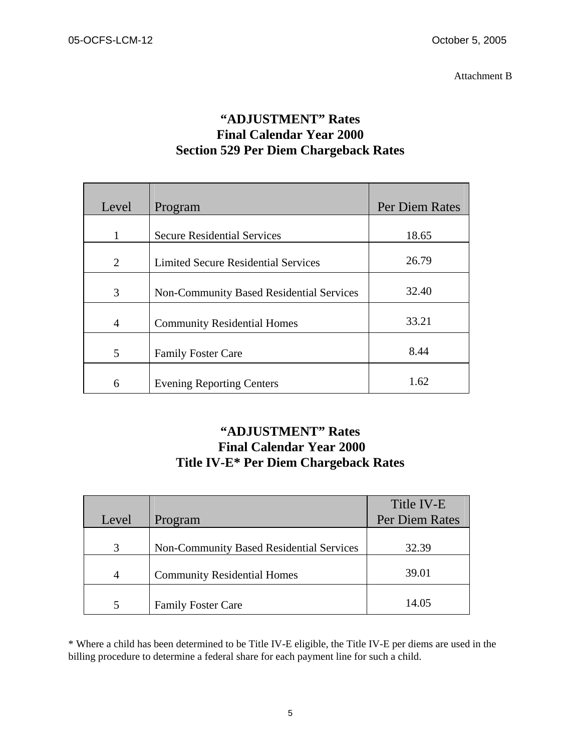# **"ADJUSTMENT" Rates Final Calendar Year 2000 Section 529 Per Diem Chargeback Rates**

| Level          | Program                                         | <b>Per Diem Rates</b> |
|----------------|-------------------------------------------------|-----------------------|
|                |                                                 |                       |
| 1              | <b>Secure Residential Services</b>              | 18.65                 |
|                |                                                 |                       |
| 2              | <b>Limited Secure Residential Services</b>      | 26.79                 |
|                |                                                 |                       |
| 3              | <b>Non-Community Based Residential Services</b> | 32.40                 |
|                |                                                 |                       |
| $\overline{4}$ | <b>Community Residential Homes</b>              | 33.21                 |
|                |                                                 |                       |
| 5              | <b>Family Foster Care</b>                       | 8.44                  |
|                |                                                 |                       |
| 6              | <b>Evening Reporting Centers</b>                | 1.62                  |

# **"ADJUSTMENT" Rates Final Calendar Year 2000 Title IV-E\* Per Diem Chargeback Rates**

| Level | Program                                         | Title IV-E<br>Per Diem Rates |
|-------|-------------------------------------------------|------------------------------|
| 3     | <b>Non-Community Based Residential Services</b> | 32.39                        |
| 4     | <b>Community Residential Homes</b>              | 39.01                        |
| 5     | <b>Family Foster Care</b>                       | 14.05                        |

\* Where a child has been determined to be Title IV-E eligible, the Title IV-E per diems are used in the billing procedure to determine a federal share for each payment line for such a child.